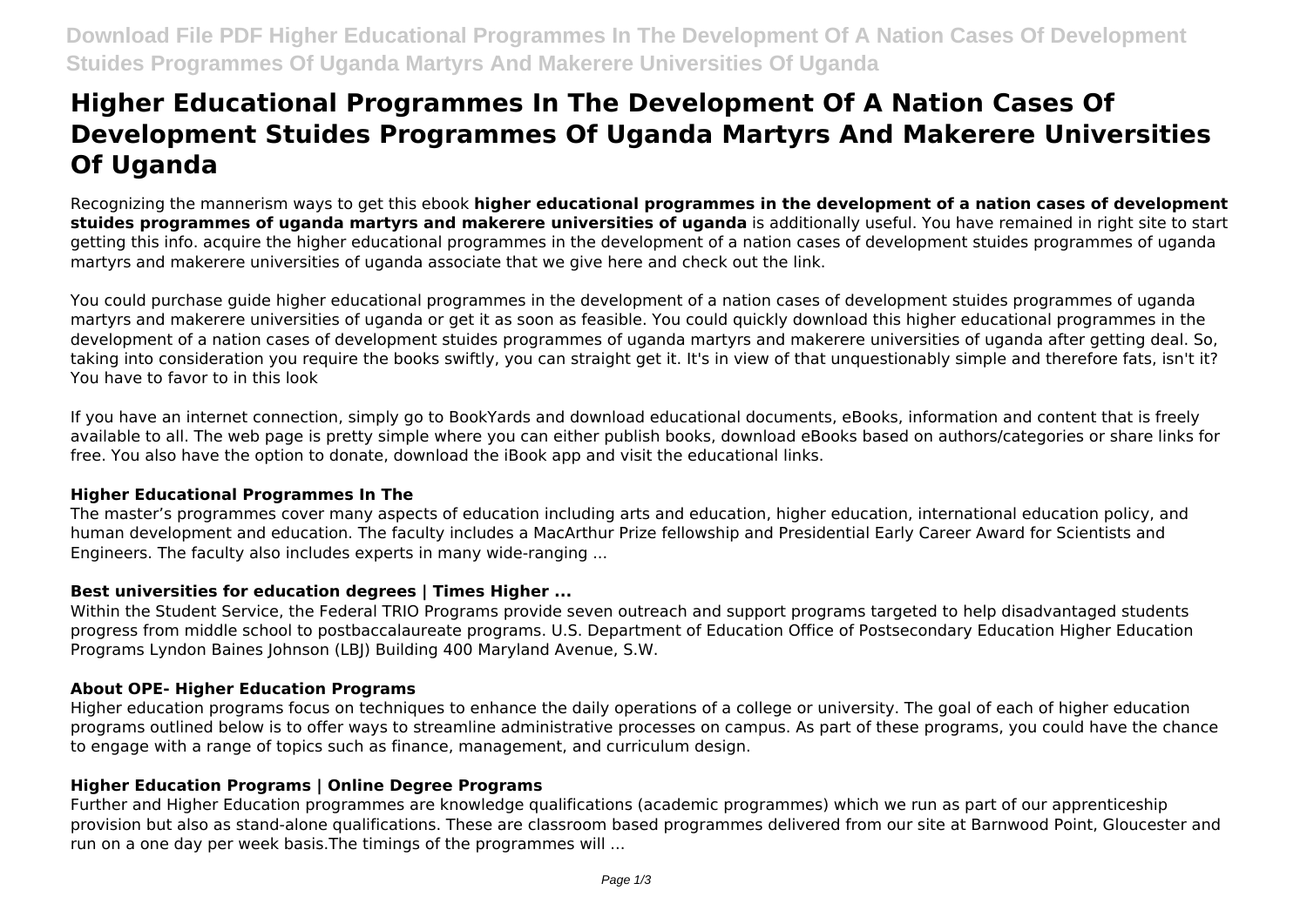# **Higher Educational Programmes In The Development Of A Nation Cases Of Development Stuides Programmes Of Uganda Martyrs And Makerere Universities Of Uganda**

Recognizing the mannerism ways to get this ebook **higher educational programmes in the development of a nation cases of development stuides programmes of uganda martyrs and makerere universities of uganda** is additionally useful. You have remained in right site to start getting this info. acquire the higher educational programmes in the development of a nation cases of development stuides programmes of uganda martyrs and makerere universities of uganda associate that we give here and check out the link.

You could purchase guide higher educational programmes in the development of a nation cases of development stuides programmes of uganda martyrs and makerere universities of uganda or get it as soon as feasible. You could quickly download this higher educational programmes in the development of a nation cases of development stuides programmes of uganda martyrs and makerere universities of uganda after getting deal. So, taking into consideration you require the books swiftly, you can straight get it. It's in view of that unquestionably simple and therefore fats, isn't it? You have to favor to in this look

If you have an internet connection, simply go to BookYards and download educational documents, eBooks, information and content that is freely available to all. The web page is pretty simple where you can either publish books, download eBooks based on authors/categories or share links for free. You also have the option to donate, download the iBook app and visit the educational links.

# **Higher Educational Programmes In The**

The master's programmes cover many aspects of education including arts and education, higher education, international education policy, and human development and education. The faculty includes a MacArthur Prize fellowship and Presidential Early Career Award for Scientists and Engineers. The faculty also includes experts in many wide-ranging ...

# **Best universities for education degrees | Times Higher ...**

Within the Student Service, the Federal TRIO Programs provide seven outreach and support programs targeted to help disadvantaged students progress from middle school to postbaccalaureate programs. U.S. Department of Education Office of Postsecondary Education Higher Education Programs Lyndon Baines Johnson (LBJ) Building 400 Maryland Avenue, S.W.

# **About OPE- Higher Education Programs**

Higher education programs focus on techniques to enhance the daily operations of a college or university. The goal of each of higher education programs outlined below is to offer ways to streamline administrative processes on campus. As part of these programs, you could have the chance to engage with a range of topics such as finance, management, and curriculum design.

# **Higher Education Programs | Online Degree Programs**

Further and Higher Education programmes are knowledge qualifications (academic programmes) which we run as part of our apprenticeship provision but also as stand-alone qualifications. These are classroom based programmes delivered from our site at Barnwood Point, Gloucester and run on a one day per week basis.The timings of the programmes will ...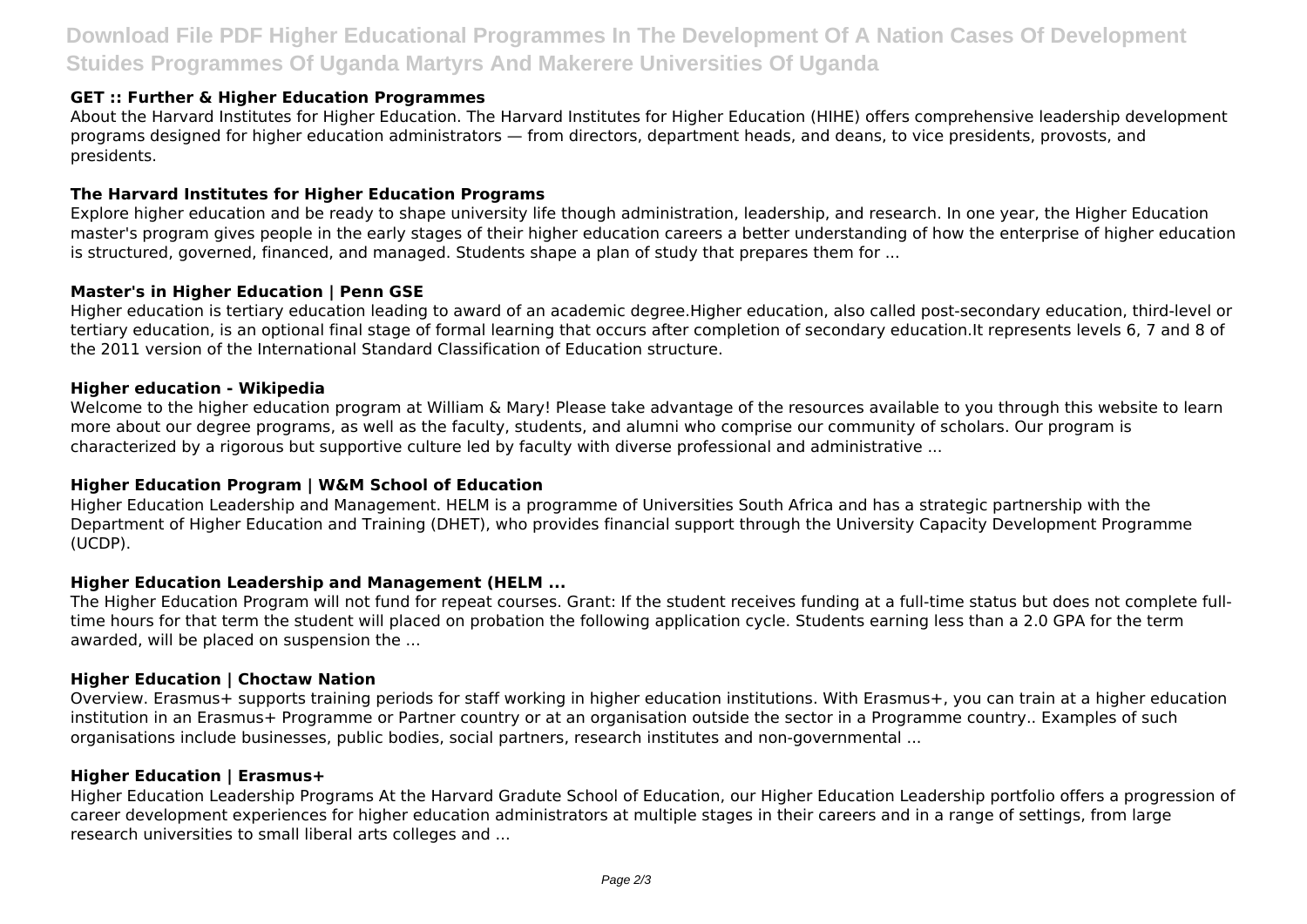# **Download File PDF Higher Educational Programmes In The Development Of A Nation Cases Of Development Stuides Programmes Of Uganda Martyrs And Makerere Universities Of Uganda**

#### **GET :: Further & Higher Education Programmes**

About the Harvard Institutes for Higher Education. The Harvard Institutes for Higher Education (HIHE) offers comprehensive leadership development programs designed for higher education administrators — from directors, department heads, and deans, to vice presidents, provosts, and presidents.

#### **The Harvard Institutes for Higher Education Programs**

Explore higher education and be ready to shape university life though administration, leadership, and research. In one year, the Higher Education master's program gives people in the early stages of their higher education careers a better understanding of how the enterprise of higher education is structured, governed, financed, and managed. Students shape a plan of study that prepares them for ...

#### **Master's in Higher Education | Penn GSE**

Higher education is tertiary education leading to award of an academic degree.Higher education, also called post-secondary education, third-level or tertiary education, is an optional final stage of formal learning that occurs after completion of secondary education.It represents levels 6, 7 and 8 of the 2011 version of the International Standard Classification of Education structure.

#### **Higher education - Wikipedia**

Welcome to the higher education program at William & Mary! Please take advantage of the resources available to you through this website to learn more about our degree programs, as well as the faculty, students, and alumni who comprise our community of scholars. Our program is characterized by a rigorous but supportive culture led by faculty with diverse professional and administrative ...

#### **Higher Education Program | W&M School of Education**

Higher Education Leadership and Management. HELM is a programme of Universities South Africa and has a strategic partnership with the Department of Higher Education and Training (DHET), who provides financial support through the University Capacity Development Programme (UCDP).

#### **Higher Education Leadership and Management (HELM ...**

The Higher Education Program will not fund for repeat courses. Grant: If the student receives funding at a full-time status but does not complete fulltime hours for that term the student will placed on probation the following application cycle. Students earning less than a 2.0 GPA for the term awarded, will be placed on suspension the ...

#### **Higher Education | Choctaw Nation**

Overview. Erasmus+ supports training periods for staff working in higher education institutions. With Erasmus+, you can train at a higher education institution in an Erasmus+ Programme or Partner country or at an organisation outside the sector in a Programme country.. Examples of such organisations include businesses, public bodies, social partners, research institutes and non-governmental ...

#### **Higher Education | Erasmus+**

Higher Education Leadership Programs At the Harvard Gradute School of Education, our Higher Education Leadership portfolio offers a progression of career development experiences for higher education administrators at multiple stages in their careers and in a range of settings, from large research universities to small liberal arts colleges and ...